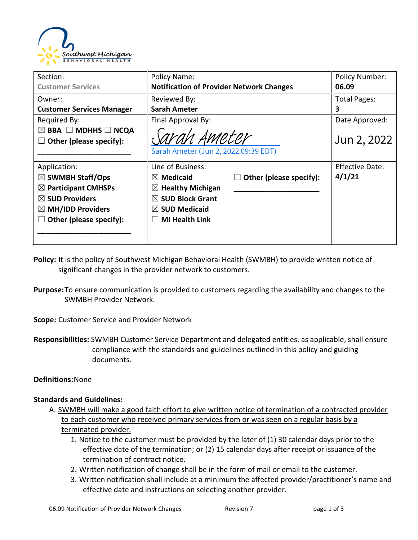

| Section:                                                                                                                                                                        | Policy Name:                                                                                                                                                          |                         | <b>Policy Number:</b>            |
|---------------------------------------------------------------------------------------------------------------------------------------------------------------------------------|-----------------------------------------------------------------------------------------------------------------------------------------------------------------------|-------------------------|----------------------------------|
| <b>Customer Services</b>                                                                                                                                                        | <b>Notification of Provider Network Changes</b>                                                                                                                       |                         | 06.09                            |
| Owner:                                                                                                                                                                          | Reviewed By:                                                                                                                                                          |                         | <b>Total Pages:</b>              |
| <b>Customer Services Manager</b>                                                                                                                                                | <b>Sarah Ameter</b>                                                                                                                                                   |                         | 3                                |
| Required By:<br>$\boxtimes$ BBA $\Box$ MDHHS $\Box$ NCQA<br>Other (please specify):                                                                                             | Final Approval By:<br>Sarah Ameter<br>Sarah Ameter (Jun 2, 2022 09:39 EDT)                                                                                            |                         | Date Approved:<br>Jun 2, 2022    |
| Application:<br>$\boxtimes$ SWMBH Staff/Ops<br>$\boxtimes$ Participant CMHSPs<br>$\boxtimes$ SUD Providers<br>$\boxtimes$ MH/IDD Providers<br>Other (please specify):<br>$\Box$ | Line of Business:<br><b>Medicaid</b><br>$\bowtie$<br>$\boxtimes$ Healthy Michigan<br>$\boxtimes$ SUD Block Grant<br>$\boxtimes$ SUD Medicaid<br><b>MI Health Link</b> | Other (please specify): | <b>Effective Date:</b><br>4/1/21 |

- **Policy:** It is the policy of Southwest Michigan Behavioral Health (SWMBH) to provide written notice of significant changes in the provider network to customers.
- **Purpose:**To ensure communication is provided to customers regarding the availability and changes to the SWMBH Provider Network.

**Scope:** Customer Service and Provider Network

**Responsibilities:** SWMBH Customer Service Department and delegated entities, as applicable, shall ensure compliance with the standards and guidelines outlined in this policy and guiding documents.

# **Definitions:**None

# **Standards and Guidelines:**

- A. SWMBH will make a good faith effort to give written notice of termination of a contracted provider to each customer who received primary services from or was seen on a regular basis by a terminated provider.
	- 1. Notice to the customer must be provided by the later of (1) 30 calendar days prior to the effective date of the termination; or (2) 15 calendar days after receipt or issuance of the termination of contract notice.
	- 2. Written notification of change shall be in the form of mail or email to the customer.
	- 3. Written notification shall include at a minimum the affected provider/practitioner's name and effective date and instructions on selecting another provider.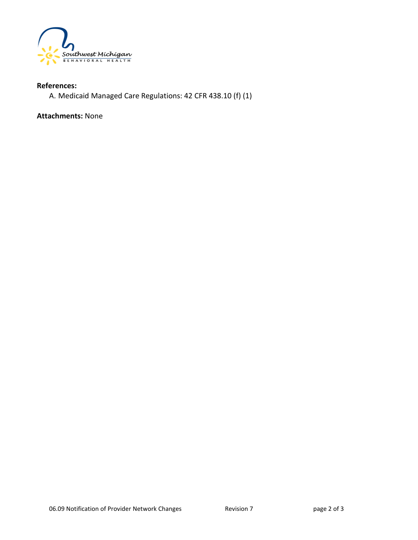

# **References:**

A. Medicaid Managed Care Regulations: 42 CFR 438.10 (f) (1)

**Attachments:** None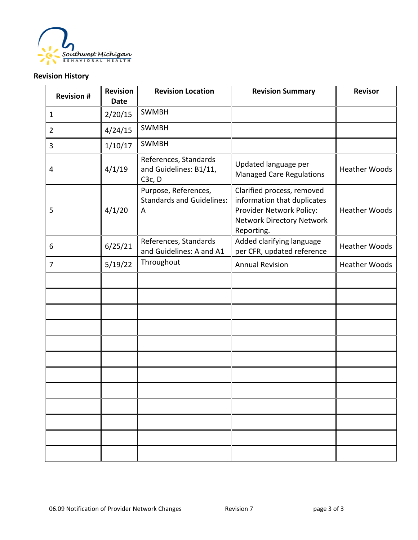

# **Revision History**

| <b>Revision#</b> | <b>Revision</b><br><b>Date</b> | <b>Revision Location</b>                                               | <b>Revision Summary</b>                                                                                                          | <b>Revisor</b>       |
|------------------|--------------------------------|------------------------------------------------------------------------|----------------------------------------------------------------------------------------------------------------------------------|----------------------|
| $\mathbf{1}$     | 2/20/15                        | <b>SWMBH</b>                                                           |                                                                                                                                  |                      |
| $\overline{2}$   | 4/24/15                        | <b>SWMBH</b>                                                           |                                                                                                                                  |                      |
| 3                | 1/10/17                        | <b>SWMBH</b>                                                           |                                                                                                                                  |                      |
| 4                | 4/1/19                         | References, Standards<br>and Guidelines: B1/11,<br>C <sub>3</sub> c, D | Updated language per<br><b>Managed Care Regulations</b>                                                                          | <b>Heather Woods</b> |
| 5                | 4/1/20                         | Purpose, References,<br><b>Standards and Guidelines:</b><br>A          | Clarified process, removed<br>information that duplicates<br>Provider Network Policy:<br>Network Directory Network<br>Reporting. | <b>Heather Woods</b> |
| 6                | 6/25/21                        | References, Standards<br>and Guidelines: A and A1                      | Added clarifying language<br>per CFR, updated reference                                                                          | <b>Heather Woods</b> |
| $\overline{7}$   | 5/19/22                        | Throughout                                                             | <b>Annual Revision</b>                                                                                                           | <b>Heather Woods</b> |
|                  |                                |                                                                        |                                                                                                                                  |                      |
|                  |                                |                                                                        |                                                                                                                                  |                      |
|                  |                                |                                                                        |                                                                                                                                  |                      |
|                  |                                |                                                                        |                                                                                                                                  |                      |
|                  |                                |                                                                        |                                                                                                                                  |                      |
|                  |                                |                                                                        |                                                                                                                                  |                      |
|                  |                                |                                                                        |                                                                                                                                  |                      |
|                  |                                |                                                                        |                                                                                                                                  |                      |
|                  |                                |                                                                        |                                                                                                                                  |                      |
|                  |                                |                                                                        |                                                                                                                                  |                      |
|                  |                                |                                                                        |                                                                                                                                  |                      |
|                  |                                |                                                                        |                                                                                                                                  |                      |